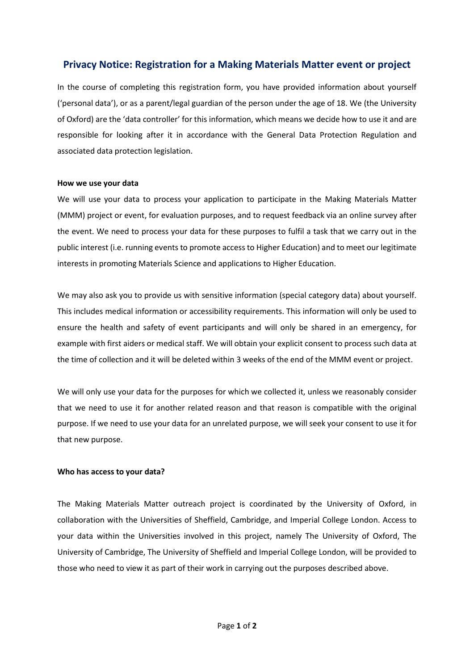# **Privacy Notice: Registration for a Making Materials Matter event or project**

In the course of completing this registration form, you have provided information about yourself ('personal data'), or as a parent/legal guardian of the person under the age of 18. We (the University of Oxford) are the 'data controller' for this information, which means we decide how to use it and are responsible for looking after it in accordance with the General Data Protection Regulation and associated data protection legislation.

### **How we use your data**

We will use your data to process your application to participate in the Making Materials Matter (MMM) project or event, for evaluation purposes, and to request feedback via an online survey after the event. We need to process your data for these purposes to fulfil a task that we carry out in the public interest (i.e. running events to promote access to Higher Education) and to meet our legitimate interests in promoting Materials Science and applications to Higher Education.

We may also ask you to provide us with sensitive information (special category data) about yourself. This includes medical information or accessibility requirements. This information will only be used to ensure the health and safety of event participants and will only be shared in an emergency, for example with first aiders or medical staff. We will obtain your explicit consent to process such data at the time of collection and it will be deleted within 3 weeks of the end of the MMM event or project.

We will only use your data for the purposes for which we collected it, unless we reasonably consider that we need to use it for another related reason and that reason is compatible with the original purpose. If we need to use your data for an unrelated purpose, we will seek your consent to use it for that new purpose.

## **Who has access to your data?**

The Making Materials Matter outreach project is coordinated by the University of Oxford, in collaboration with the Universities of Sheffield, Cambridge, and Imperial College London. Access to your data within the Universities involved in this project, namely The University of Oxford, The University of Cambridge, The University of Sheffield and Imperial College London, will be provided to those who need to view it as part of their work in carrying out the purposes described above.